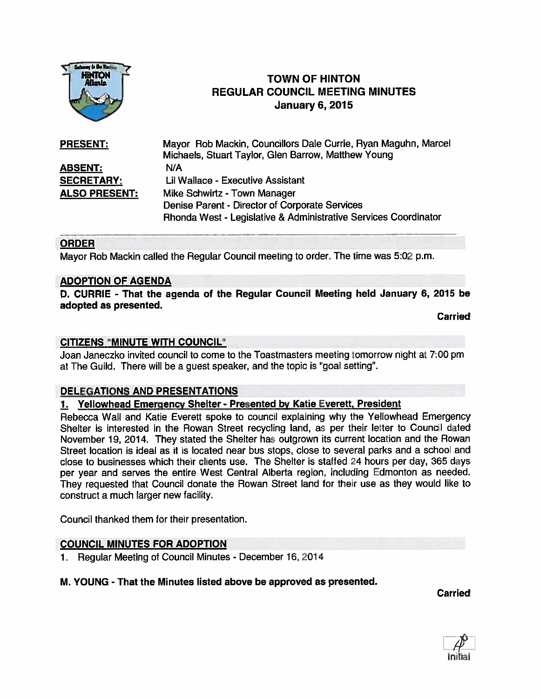

# **TOWN OF HINTON** REGULAR COUNCIL MEETING MINUTES January 6, 2015

| <b>PRESENT:</b>      | Mayor Rob Mackin, Councillors Dale Currie, Ryan Maguhn, Marcel  |
|----------------------|-----------------------------------------------------------------|
|                      | Michaels, Stuart Taylor, Glen Barrow, Matthew Young             |
| <b>ABSENT:</b>       | N/A                                                             |
| <b>SECRETARY:</b>    | Lil Wallace - Executive Assistant                               |
| <b>ALSO PRESENT:</b> | Mike Schwirtz - Town Manager                                    |
|                      | Denise Parent - Director of Corporate Services                  |
|                      | Rhonda West - Legislative & Administrative Services Coordinator |

# ORDER

Mayor Rob Mackin called the Regular Council meeting to order. The time was 5:02 p.m.

## ADOPTION OF AGENDA

0. CURRIE - That the agenda of the Regular Council Meeting held January 6, 2015 be adopted as presented.

**Carried** 

## CITIZENS "MINUTE WITH COUNCIL"

Joan Janeczko invited council to come to the Toastmasters meeting tomorrow night at 7:00 pm at The Guild. There will be a guest speaker, and the topic is "goal setting".

# DELEGATIONS AND PRESENTATIONS

#### 1. Yellowhead Emergency Shelter - Presented by Katie Everett, President

Rebecca Wall and Katie Everett spoke to council explaining why the Yellowhead Emergency Shelter is interested in the Rowan Street recycling land, as per their letter to Council dated November 19, 2014. They stated the Shelter has outgrown its current location and the Rowan Street location is ideal as it is located near bus stops, close to several parks and <sup>a</sup> school and close to businesses which their clients use. The Shelter is staffed 24 hours per day, 365 days per year and serves the entire West Central Alberta region, including Edmonton as needed, They requested that Council donate the Rowan Street land for their use as they would like to construct <sup>a</sup> much larger new facility.

Council thanked them for their presentation.

# COUNCIL MINUTES FOR ADOPTION

1. Regular Meeting of Council Minutes - December 16, 2014

# M. YOUNG - That the Minutes listed above be approved as presented.

Carried

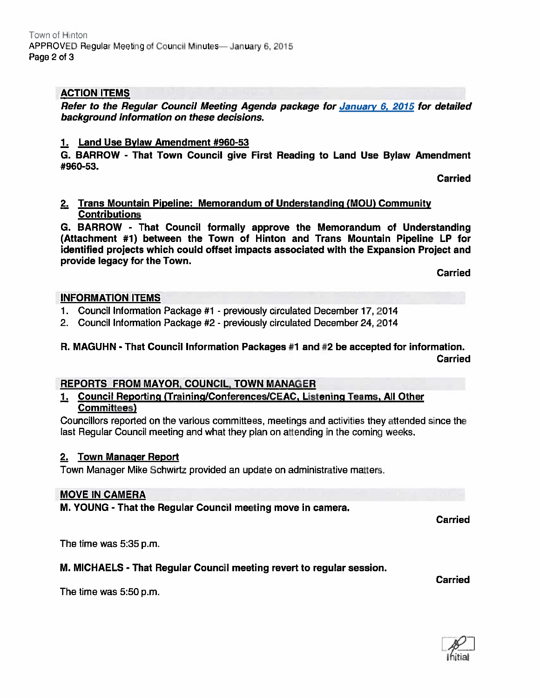# ACTION ITEMS

Refer to the Regular Council Meeting Agenda package for January 6, 2015 for detailed background information on these decisions.

#### 1. Land Use Bylaw Amendment #960-53

G. BARROW - That Town Council give First Reading to Land Use Bylaw Amendment #960-53.

Carried

## 2. Trans Mountain Pipeline: Memorandum of Understanding (MOU) Community **Contributions**

G. BARROW - That Council formally approve the Memorandum of Understanding (Attachment #1) between the Town of Hinton and Trans Mountain Pipeline LP for identified projects which could offset impacts associated with the Expansion Project and provide legacy for the Town.

Carried

## INFORMATION ITEMS

- 1. Council Information Package #1 previously circulated December 17, 2014
- 2. Council Information Package #2 previously circulated December 24, 2014

# R. MAGUHN - That Council Information Packages #1 and #2 be accepted for information. Carried

# REPORTS FROM MAYOR, COUNCIL, TOWN MANAGER

## Council Reporting (Training/Conferences/CEAC, Listening Teams, All Other Committees)

Councillors reported on the various committees, meetings and activities they attended since the last Regular Council meeting and what they plan on attending in the coming weeks.

# 2. Town Manager Report

Town Manager Mike Schwirtz provided an update on administrative matters.

#### MOVE IN CAMERA

M. YOUNG - That the Regular Council meeting move in camera.

Carried

The time was 5:35 p.m.

# M. MICHAELS - That Regular Council meeting revert to regular session.

Carried

The time was 5:50 p.m.